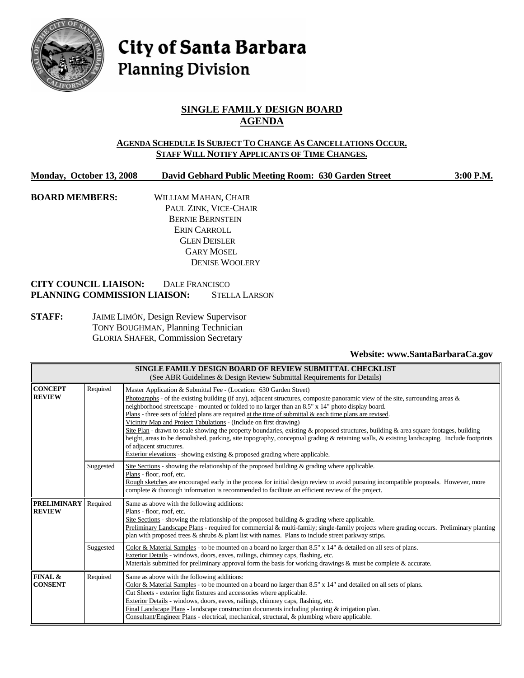

# City of Santa Barbara **Planning Division**

## **SINGLE FAMILY DESIGN BOARD AGENDA**

#### **AGENDA SCHEDULE IS SUBJECT TO CHANGE AS CANCELLATIONS OCCUR. STAFF WILL NOTIFY APPLICANTS OF TIME CHANGES.**

## **Monday, October 13, 2008 David Gebhard Public Meeting Room: 630 Garden Street 3:00 P.M.**

**BOARD MEMBERS:** WILLIAM MAHAN, CHAIR PAUL ZINK, VICE-CHAIR BERNIE BERNSTEIN ERIN CARROLL GLEN DEISLER GARY MOSEL DENISE WOOLERY

#### **CITY COUNCIL LIAISON:** DALE FRANCISCO **PLANNING COMMISSION LIAISON:** STELLA LARSON

**STAFF:** JAIME LIMÓN, Design Review Supervisor TONY BOUGHMAN, Planning Technician GLORIA SHAFER, Commission Secretary

#### **Website: www.SantaBarbaraCa.gov**

| SINGLE FAMILY DESIGN BOARD OF REVIEW SUBMITTAL CHECKLIST<br>(See ABR Guidelines & Design Review Submittal Requirements for Details) |           |                                                                                                                                                                                                                                                                                                                                                                                                                                                                                                                                                                                                                                                                                                                                                                                                                                                                                                |  |  |  |
|-------------------------------------------------------------------------------------------------------------------------------------|-----------|------------------------------------------------------------------------------------------------------------------------------------------------------------------------------------------------------------------------------------------------------------------------------------------------------------------------------------------------------------------------------------------------------------------------------------------------------------------------------------------------------------------------------------------------------------------------------------------------------------------------------------------------------------------------------------------------------------------------------------------------------------------------------------------------------------------------------------------------------------------------------------------------|--|--|--|
| <b>CONCEPT</b><br><b>REVIEW</b>                                                                                                     | Required  | Master Application & Submittal Fee - (Location: 630 Garden Street)<br>Photographs - of the existing building (if any), adjacent structures, composite panoramic view of the site, surrounding areas $\&$<br>neighborhood streetscape - mounted or folded to no larger than an 8.5" x 14" photo display board.<br>Plans - three sets of folded plans are required at the time of submittal & each time plans are revised.<br>Vicinity Map and Project Tabulations - (Include on first drawing)<br>Site Plan - drawn to scale showing the property boundaries, existing & proposed structures, building & area square footages, building<br>height, areas to be demolished, parking, site topography, conceptual grading & retaining walls, & existing landscaping. Include footprints<br>of adjacent structures.<br>Exterior elevations - showing existing & proposed grading where applicable. |  |  |  |
|                                                                                                                                     | Suggested | Site Sections - showing the relationship of the proposed building $\&$ grading where applicable.<br>Plans - floor, roof, etc.<br>Rough sketches are encouraged early in the process for initial design review to avoid pursuing incompatible proposals. However, more<br>complete & thorough information is recommended to facilitate an efficient review of the project.                                                                                                                                                                                                                                                                                                                                                                                                                                                                                                                      |  |  |  |
| <b>PRELIMINARY</b><br><b>REVIEW</b>                                                                                                 | Required  | Same as above with the following additions:<br>Plans - floor, roof, etc.<br>Site Sections - showing the relationship of the proposed building $\&$ grading where applicable.<br>Preliminary Landscape Plans - required for commercial & multi-family; single-family projects where grading occurs. Preliminary planting<br>plan with proposed trees $\&$ shrubs $\&$ plant list with names. Plans to include street parkway strips.                                                                                                                                                                                                                                                                                                                                                                                                                                                            |  |  |  |
|                                                                                                                                     | Suggested | Color & Material Samples - to be mounted on a board no larger than $8.5" \times 14"$ & detailed on all sets of plans.<br>Exterior Details - windows, doors, eaves, railings, chimney caps, flashing, etc.<br>Materials submitted for preliminary approval form the basis for working drawings & must be complete & accurate.                                                                                                                                                                                                                                                                                                                                                                                                                                                                                                                                                                   |  |  |  |
| FINAL &<br><b>CONSENT</b>                                                                                                           | Required  | Same as above with the following additions:<br>Color & Material Samples - to be mounted on a board no larger than $8.5" \times 14"$ and detailed on all sets of plans.<br>Cut Sheets - exterior light fixtures and accessories where applicable.<br>Exterior Details - windows, doors, eaves, railings, chimney caps, flashing, etc.<br>Final Landscape Plans - landscape construction documents including planting $\&$ irrigation plan.<br>Consultant/Engineer Plans - electrical, mechanical, structural, & plumbing where applicable.                                                                                                                                                                                                                                                                                                                                                      |  |  |  |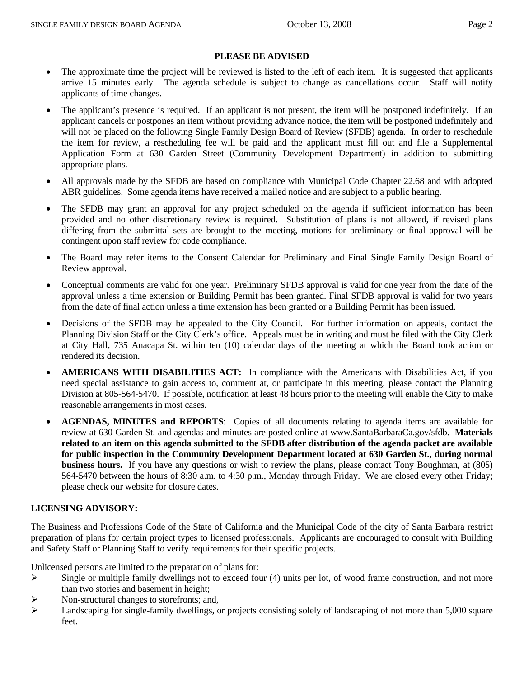## **PLEASE BE ADVISED**

- The approximate time the project will be reviewed is listed to the left of each item. It is suggested that applicants arrive 15 minutes early. The agenda schedule is subject to change as cancellations occur. Staff will notify applicants of time changes.
- The applicant's presence is required. If an applicant is not present, the item will be postponed indefinitely. If an applicant cancels or postpones an item without providing advance notice, the item will be postponed indefinitely and will not be placed on the following Single Family Design Board of Review (SFDB) agenda. In order to reschedule the item for review, a rescheduling fee will be paid and the applicant must fill out and file a Supplemental Application Form at 630 Garden Street (Community Development Department) in addition to submitting appropriate plans.
- All approvals made by the SFDB are based on compliance with Municipal Code Chapter 22.68 and with adopted ABR guidelines. Some agenda items have received a mailed notice and are subject to a public hearing.
- The SFDB may grant an approval for any project scheduled on the agenda if sufficient information has been provided and no other discretionary review is required. Substitution of plans is not allowed, if revised plans differing from the submittal sets are brought to the meeting, motions for preliminary or final approval will be contingent upon staff review for code compliance.
- The Board may refer items to the Consent Calendar for Preliminary and Final Single Family Design Board of Review approval.
- Conceptual comments are valid for one year. Preliminary SFDB approval is valid for one year from the date of the approval unless a time extension or Building Permit has been granted. Final SFDB approval is valid for two years from the date of final action unless a time extension has been granted or a Building Permit has been issued.
- Decisions of the SFDB may be appealed to the City Council. For further information on appeals, contact the Planning Division Staff or the City Clerk's office. Appeals must be in writing and must be filed with the City Clerk at City Hall, 735 Anacapa St. within ten (10) calendar days of the meeting at which the Board took action or rendered its decision.
- **AMERICANS WITH DISABILITIES ACT:** In compliance with the Americans with Disabilities Act, if you need special assistance to gain access to, comment at, or participate in this meeting, please contact the Planning Division at 805-564-5470. If possible, notification at least 48 hours prior to the meeting will enable the City to make reasonable arrangements in most cases.
- **AGENDAS, MINUTES and REPORTS**: Copies of all documents relating to agenda items are available for review at 630 Garden St. and agendas and minutes are posted online at www.SantaBarbaraCa.gov/sfdb. **Materials related to an item on this agenda submitted to the SFDB after distribution of the agenda packet are available for public inspection in the Community Development Department located at 630 Garden St., during normal business hours.** If you have any questions or wish to review the plans, please contact Tony Boughman, at (805) 564-5470 between the hours of 8:30 a.m. to 4:30 p.m., Monday through Friday. We are closed every other Friday; please check our website for closure dates.

## **LICENSING ADVISORY:**

The Business and Professions Code of the State of California and the Municipal Code of the city of Santa Barbara restrict preparation of plans for certain project types to licensed professionals. Applicants are encouraged to consult with Building and Safety Staff or Planning Staff to verify requirements for their specific projects.

Unlicensed persons are limited to the preparation of plans for:

- $\triangleright$  Single or multiple family dwellings not to exceed four (4) units per lot, of wood frame construction, and not more than two stories and basement in height;
- ¾ Non-structural changes to storefronts; and,
- $\blacktriangleright$  Landscaping for single-family dwellings, or projects consisting solely of landscaping of not more than 5,000 square feet.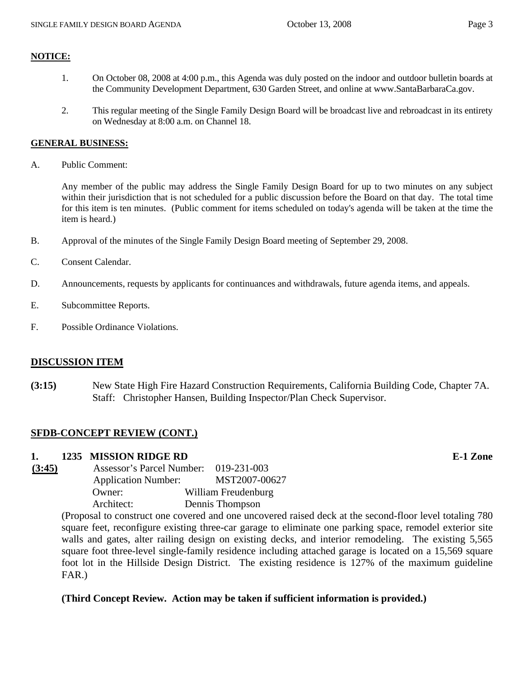## **NOTICE:**

- 1. On October 08, 2008 at 4:00 p.m., this Agenda was duly posted on the indoor and outdoor bulletin boards at the Community Development Department, 630 Garden Street, and online at www.SantaBarbaraCa.gov.
- 2. This regular meeting of the Single Family Design Board will be broadcast live and rebroadcast in its entirety on Wednesday at 8:00 a.m. on Channel 18.

#### **GENERAL BUSINESS:**

A. Public Comment:

Any member of the public may address the Single Family Design Board for up to two minutes on any subject within their jurisdiction that is not scheduled for a public discussion before the Board on that day. The total time for this item is ten minutes. (Public comment for items scheduled on today's agenda will be taken at the time the item is heard.)

- B. Approval of the minutes of the Single Family Design Board meeting of September 29, 2008.
- C. Consent Calendar.
- D. Announcements, requests by applicants for continuances and withdrawals, future agenda items, and appeals.
- E. Subcommittee Reports.
- F. Possible Ordinance Violations.

## **DISCUSSION ITEM**

**(3:15)** New State High Fire Hazard Construction Requirements, California Building Code, Chapter 7A. Staff: Christopher Hansen, Building Inspector/Plan Check Supervisor.

## **SFDB-CONCEPT REVIEW (CONT.)**

## **1. 1235 MISSION RIDGE RD E-1 Zone**

| Assessor's Parcel Number: 019-231-003 |                     |
|---------------------------------------|---------------------|
| <b>Application Number:</b>            | MST2007-00627       |
| Owner:                                | William Freudenburg |
| Architect:                            | Dennis Thompson     |
|                                       |                     |

(Proposal to construct one covered and one uncovered raised deck at the second-floor level totaling 780 square feet, reconfigure existing three-car garage to eliminate one parking space, remodel exterior site walls and gates, alter railing design on existing decks, and interior remodeling. The existing 5,565 square foot three-level single-family residence including attached garage is located on a 15,569 square foot lot in the Hillside Design District. The existing residence is 127% of the maximum guideline FAR.)

## **(Third Concept Review. Action may be taken if sufficient information is provided.)**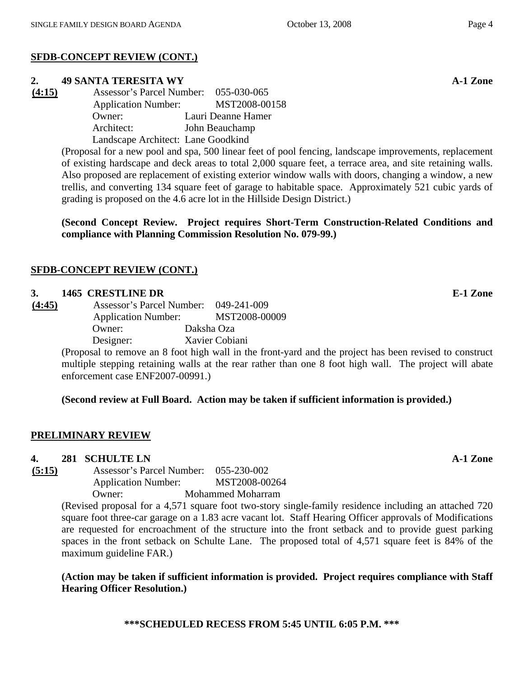# **SFDB-CONCEPT REVIEW (CONT.)**

## **2. 49 SANTA TERESITA WY A-1 Zone**

**(4:15)** Assessor's Parcel Number: 055-030-065 Application Number: MST2008-00158 Owner: Lauri Deanne Hamer Architect: John Beauchamp Landscape Architect: Lane Goodkind

> (Proposal for a new pool and spa, 500 linear feet of pool fencing, landscape improvements, replacement of existing hardscape and deck areas to total 2,000 square feet, a terrace area, and site retaining walls. Also proposed are replacement of existing exterior window walls with doors, changing a window, a new trellis, and converting 134 square feet of garage to habitable space. Approximately 521 cubic yards of grading is proposed on the 4.6 acre lot in the Hillside Design District.)

> **(Second Concept Review. Project requires Short-Term Construction-Related Conditions and compliance with Planning Commission Resolution No. 079-99.)**

# **SFDB-CONCEPT REVIEW (CONT.)**

## **3. 1465 CRESTLINE DR E-1 Zone**

**(4:45)** Assessor's Parcel Number: 049-241-009 Application Number: MST2008-00009 Owner: Daksha Oza Designer: Xavier Cobiani

(Proposal to remove an 8 foot high wall in the front-yard and the project has been revised to construct multiple stepping retaining walls at the rear rather than one 8 foot high wall. The project will abate enforcement case ENF2007-00991.)

# **(Second review at Full Board. Action may be taken if sufficient information is provided.)**

# **PRELIMINARY REVIEW**

**4. 281 SCHULTE LN A-1 Zone**

**(5:15)** Assessor's Parcel Number: 055-230-002 Application Number: MST2008-00264 Owner: Mohammed Moharram

(Revised proposal for a 4,571 square foot two-story single-family residence including an attached 720 square foot three-car garage on a 1.83 acre vacant lot. Staff Hearing Officer approvals of Modifications are requested for encroachment of the structure into the front setback and to provide guest parking spaces in the front setback on Schulte Lane. The proposed total of 4,571 square feet is 84% of the maximum guideline FAR.)

**(Action may be taken if sufficient information is provided. Project requires compliance with Staff Hearing Officer Resolution.)** 

**\*\*\*SCHEDULED RECESS FROM 5:45 UNTIL 6:05 P.M. \*\*\***